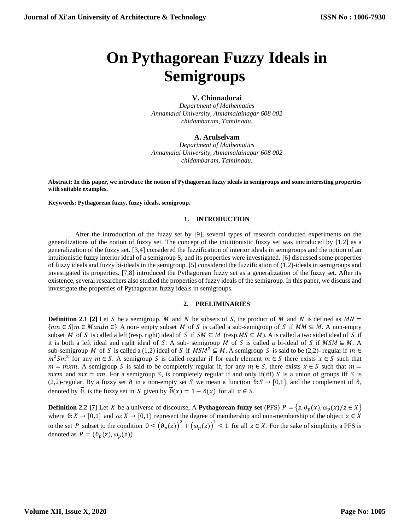# **On Pythagorean Fuzzy Ideals in Semigroups**

# **V. Chinnadurai**

*Department of Mathematics Annamalai University, Annamalainagar 608 002 chidambaram, Tamilnadu.*

## **A. Arulselvam**

*Department of Mathematics Annamalai University, Annamalainagar 608 002 chidambaram, Tamilnadu.*

**Abstract: In this paper, we introduce the notion of Pythagorean fuzzy ideals in semigroups and some interesting properties with suitable examples.**

**Keywords: Pythagorean fuzzy, fuzzy ideals, semigroup.**

## **1. INTRODUCTION**

After the introduction of the fuzzy set by [9], several types of research conducted experiments on the generalizations of the notion of fuzzy set. The concept of the intuitionistic fuzzy set was introduced by [1,2] as a generalization of the fuzzy set. [3,4] considered the fuzzification of interior ideals in semigroups and the notion of an intuitionistic fuzzy interior ideal of a semigroup S, and its properties were investigated. [6] discussed some properties of fuzzy ideals and fuzzy bi-ideals in the semigroup. [5] considered the fuzzification of (1,2)-ideals in semigroups and investigated its properties. [7,8] introduced the Pythagorean fuzzy set as a generalization of the fuzzy set. After its existence, several researchers also studied the properties of fuzzy ideals of the semigroup. In this paper, we discuss and investigate the properties of Pythagorean fuzzy ideals in semigroups.

#### **2. PRELIMINARIES**

**Definition 2.1** [2] Let S be a semigroup. M and N be subsets of S, the product of M and N is defined as  $MN =$  ${mn \in S | m \in Mandn \in}$  A non- empty subset M of S is called a sub-semigroup of S if  $MM \subseteq M$ . A non-empty subset M of S is called a left (resp. right) ideal of S if  $SM \subseteq M$  (resp. MS  $\subseteq M$ ). A is called a two sided ideal of S if it is both a left ideal and right ideal of S. A sub- semigroup M of S is called a bi-ideal of S if  $MSM \subseteq M$ . A sub-semigroup M of S is called a (1,2) ideal of S if  $MSM^2 \subseteq M$ . A semigroup S is said to be (2,2)- regular if  $m \in$  $m^2Sm^2$  for any  $m \in S$ . A semigroup S is called regular if for each element  $m \in S$  there exists  $x \in S$  such that  $m = m x m$ . A semigroup S is said to be completely regular if, for any  $m \in S$ , there exists  $x \in S$  such that  $m =$ mxm and  $mx = xm$ . For a semigroup S, is completely regular if and only if(iff) S is a union of groups iff S is (2,2)-regular. By a fuzzy set  $\vartheta$  in a non-empty set S we mean a function  $\vartheta$ :  $S \to [0,1]$ , and the complement of  $\vartheta$ , denoted by  $\overline{\theta}$ , is the fuzzy set in S given by  $\overline{\theta}(x) = 1 - \theta(x)$  for all  $x \in S$ .

**Definition 2.2** [7] Let X be a universe of discourse, A **Pythagorean fuzzy set** (PFS)  $P = \{z, \vartheta_p(x), \omega_p(x) / z \in X\}$ where  $\theta: X \to [0,1]$  and  $\omega: X \to [0,1]$  represent the degree of membership and non-membership of the object  $z \in X$ to the set P subset to the condition  $0 \leq (\theta_p(z))^2 + (\omega_p(z))^2 \leq 1$  for all  $z \in X$ . For the sake of simplicity a PFS is denoted as  $P = (\theta_p(z), \omega_p(z)).$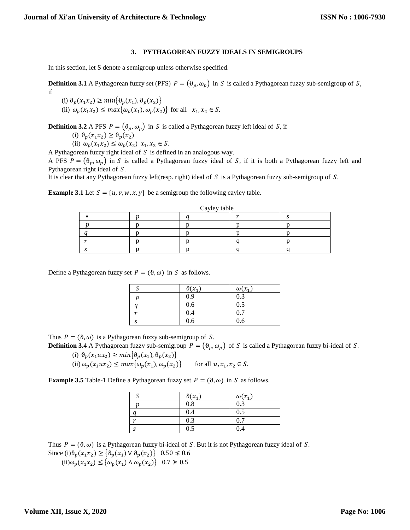### **3. PYTHAGOREAN FUZZY IDEALS IN SEMIGROUPS**

In this section, let S denote a semigroup unless otherwise specified.

**Definition 3.1** A Pythagorean fuzzy set (PFS)  $P = (\theta_p, \omega_p)$  in S is called a Pythagorean fuzzy sub-semigroup of S, if

(i)  $\vartheta_p(x_1x_2) \geq min\{\vartheta_p(x_1), \vartheta_p(x_2)\}\$ (ii)  $\omega_p(x_1x_2) \leq max\{\omega_p(x_1), \omega_p(x_2)\}\$ for all  $x_1, x_2 \in S$ .

**Definition 3.2** A PFS  $P = (\theta_p, \omega_p)$  in S is called a Pythagorean fuzzy left ideal of S, if

(i) 
$$
\vartheta_p(x_1 x_2) \ge \vartheta_p(x_2)
$$

(ii)  $\omega_p(x_1 x_2) \le \omega_p(x_2) x_1, x_2 \in S.$ 

A Pythagorean fuzzy right ideal of  $S$  is defined in an analogous way.

A PFS  $P = (\theta_p, \omega_p)$  in S is called a Pythagorean fuzzy ideal of S, if it is both a Pythagorean fuzzy left and Pythagorean right ideal of  $S$ .

It is clear that any Pythagorean fuzzy left(resp. right) ideal of  $S$  is a Pythagorean fuzzy sub-semigroup of  $S$ .

**Example 3.1** Let  $S = \{u, v, w, x, y\}$  be a semigroup the following cayley table.

| Cayley table |  |  |  |  |  |  |
|--------------|--|--|--|--|--|--|
|              |  |  |  |  |  |  |
|              |  |  |  |  |  |  |
|              |  |  |  |  |  |  |
|              |  |  |  |  |  |  |
|              |  |  |  |  |  |  |

Define a Pythagorean fuzzy set  $P = (\theta, \omega)$  in S as follows.

|        | $\vartheta(x_1)$ | $\omega(x_1)$ |
|--------|------------------|---------------|
|        | 0.9              | 0.3           |
|        | 0.6              | 0.5           |
| $\sim$ | 0.4              | 0.7           |
|        | 0.6              | 0.6           |

Thus  $P = (\theta, \omega)$  is a Pythagorean fuzzy sub-semigroup of S.

**Definition 3.4** A Pythagorean fuzzy sub-semigroup  $P = (\theta_p, \omega_p)$  of S is called a Pythagorean fuzzy bi-ideal of S. (i)  $\vartheta_p(x_1ux_2) \geq min\{\vartheta_p(x_1), \vartheta_p(x_2)\}\$ 

(ii)  $\omega_p(x_1ux_2) \le \max\{\omega_p(x_1), \omega_p(x_2)\}$  for all  $u, x_1, x_2 \in S$ .

**Example 3.5** Table-1 Define a Pythagorean fuzzy set  $P = (\vartheta, \omega)$  in S as follows.

|                | $\vartheta(x_1)$ | $\omega(x_1)$ |
|----------------|------------------|---------------|
|                | 0.8              | 0.3           |
|                | 0.4              | 0.5           |
| $\overline{a}$ | 0.3              | 0.7           |
|                | 0.5              | 0.4           |

Thus  $P = (\vartheta, \omega)$  is a Pythagorean fuzzy bi-ideal of S. But it is not Pythagorean fuzzy ideal of S. Since (i) $\vartheta_p(x_1x_2) \geq {\vartheta_p(x_1) \vee \vartheta_p(x_2)}$  0.50  $\leq$  0.6

(ii) $\omega_p(x_1x_2) \leq {\omega_p(x_1) \wedge \omega_p(x_2)}$  0.7 ≱ 0.5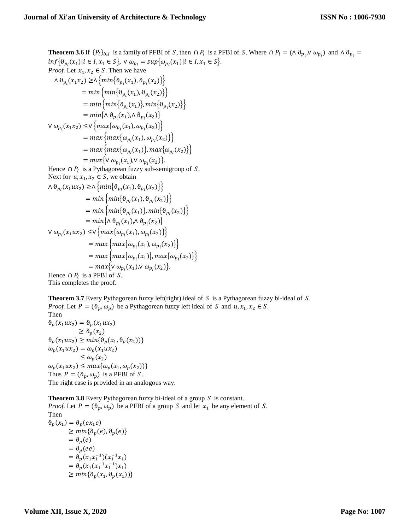**Theorem 3.6** If  $\{P_i\}_{i\in I}$  is a family of PFBI of S, then  $\cap P_i$  is a PFBI of S. Where  $\cap P_i = (\wedge \vartheta_{p_i}, \vee \omega_{p_i})$  and  $\wedge \vartheta_{p_i} =$  $inf{\{\theta_{p_i}(x_1)|i\in I, x_1 \in S\}}, \vee \omega_{p_i} = sup{\{\omega_{p_i}(x_1)|i\in I, x_1 \in S\}}.$ *Proof.* Let  $x_1, x_2 \in S$ . Then we have  $\wedge \vartheta_{p_i}(x_1x_2) \ge \wedge \{min\{\vartheta_{p_i}(x_1), \vartheta_{p_i}(x_2)\}\}\$  $= min \{ min\{\theta_{p_i}(x_1), \theta_{p_i}(x_2)\}\}$  $= min \{ \mathfrak{m} in_{i}(\mathfrak{d}_{p_i}(x_1)), min \{ \mathfrak{d}_{p_i}(x_2) \} \}$  $= min\{\wedge \vartheta_{p_i}(x_1), \wedge \vartheta_{p_i}(x_2)\}\$ ∨  $ω_{p_i}(x_1x_2)$  ≤∨ { $max{ω_{p_i}(x_1), ω_{p_i}(x_2)}$ }  $= max \{ max \{ \omega_{p_i}(x_1), \omega_{p_i}(x_2) \} \}$  $= max \{ max\{\omega_{p_i}(x_1)\}, max\{\omega_{p_i}(x_2)\} \}$  $= max \{ \forall \omega_{p_i}(x_1), \forall \omega_{p_i}(x_2) \}.$ Hence  $\cap P_i$  is a Pythagorean fuzzy sub-semigroup of S. Next for  $u, x_1, x_2 \in S$ , we obtain  $\wedge \vartheta_{p_i}(x_1ux_2) \ge \wedge \{min\{\vartheta_{p_i}(x_1), \vartheta_{p_i}(x_2)\}\}\$  $= min \{ min\{\theta_{p_i}(x_1), \theta_{p_i}(x_2)\}\}$  $= min \{ min\{\theta_{p_i}(x_1)\}, min\{\theta_{p_i}(x_2)\}\}$  $= min\{\wedge \vartheta_{p_i}(x_1), \wedge \vartheta_{p_i}(x_2)\}\$ ∨  $ω_{p_i}(x_1ux_2)$  ≤∨ { $max\{ω_{p_i}(x_1), ω_{p_i}(x_2)\}$ }  $= max \{ max \{ \omega_{p_i}(x_1), \omega_{p_i}(x_2) \} \}$  $= max \{ max\{\omega_{p_i}(x_1)\}, max\{\omega_{p_i}(x_2)\} \}$  $= max \{ \forall \omega_{p_i}(x_1), \forall \omega_{p_i}(x_2) \}.$ Hence  $\cap P_i$  is a PFBI of S. This completes the proof.

**Theorem 3.7** Every Pythagorean fuzzy left(right) ideal of  $S$  is a Pythagorean fuzzy bi-ideal of  $S$ . *Proof.* Let  $P = (\vartheta_p, \omega_p)$  be a Pythagorean fuzzy left ideal of S and  $u, x_1, x_2 \in S$ . Then  $\vartheta_p(x_1ux_2) = \vartheta_p(x_1ux_2)$  $\geq \vartheta_{p}(x_{2})$  $\vartheta_p(x_1ux_2) \geq min{\vartheta_p(x_1, \vartheta_p(x_2))}$  $\omega_p(x_1ux_2)=\omega_p(x_1ux_2)$  $\leq \omega_p(x_2)$  $\omega_p(x_1ux_2) \leq max\{\omega_p(x_1, \omega_p(x_2))\}$ Thus  $P = (\theta_p, \omega_p)$  is a PFBI of S.

The right case is provided in an analogous way.

**Theorem 3.8** Every Pythagorean fuzzy bi-ideal of a group  $S$  is constant.

*Proof.* Let  $P = (\vartheta_p, \omega_p)$  be a PFBI of a group S and let  $x_1$  be any element of S. Then

 $\vartheta_p(x_1) = \vartheta_p(ex_1e)$  $\geq min{\theta_p(e), \theta_p(e)}$  $=\vartheta_n(e)$  $=\vartheta_n(ee)$  $=\vartheta_p(x_1x_1^{-1})(x_1^{-1}x_1)$  $= \vartheta_p(x_1(x_1^{-1}x_1^{-1})x_1)$  $\geq min{\{\theta_p(x_1, \theta_p(x_1))\}}$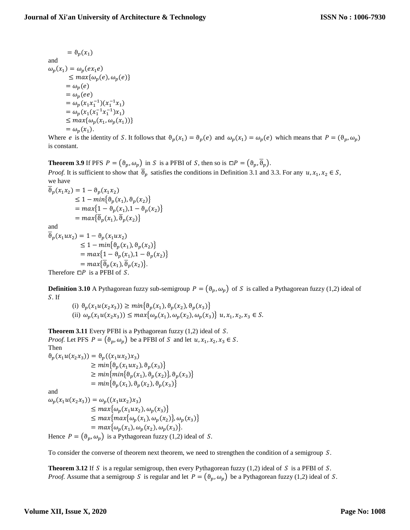$$
= \vartheta_p(x_1)
$$
  
and  

$$
\omega_p(x_1) = \omega_p(ex_1e)
$$
  

$$
\leq max{\omega_p(e), \omega_p(e)}
$$
  

$$
= \omega_p(e)
$$
  

$$
= \omega_p(x_1x_1^{-1})(x_1^{-1}x_1)
$$
  

$$
= \omega_p(x_1(x_1^{-1}x_1^{-1})x_1)
$$
  

$$
\leq max{\omega_p(x_1, \omega_p(x_1))}
$$
  

$$
= \omega_p(x_1).
$$

 $\sim$   $\sim$ 

Where *e* is the identity of S. It follows that  $\theta_p(x_1) = \theta_p(e)$  and  $\omega_p(x_1) = \omega_p(e)$  which means that  $P = (\theta_p, \omega_p)$ is constant.

**Theorem 3.9** If PFS  $P = (\vartheta_p, \omega_p)$  in S is a PFBI of S, then so is  $\Box P = (\vartheta_p, \overline{\vartheta}_p)$ .

*Proof.* It is sufficient to show that  $\vartheta_p$  satisfies the conditions in Definition 3.1 and 3.3. For any  $u, x_1, x_2 \in S$ , we have

$$
\begin{aligned} \overline{\vartheta}_p(x_1 x_2) &= 1 - \vartheta_p(x_1 x_2) \\ &\le 1 - \min\{\vartheta_p(x_1), \vartheta_p(x_2)\} \\ &= \max\{1 - \vartheta_p(x_1), 1 - \vartheta_p(x_2)\} \\ &= \max\{\overline{\vartheta}_p(x_1), \overline{\vartheta}_p(x_2)\} \end{aligned}
$$

and

 $\overline{\vartheta}_p(x_1ux_2) = 1 - \vartheta_p(x_1ux_2)$  $\leq 1 - min\{\theta_n(x_1), \theta_n(x_2)\}\$  $= max\{1 - \vartheta_n(x_1), 1 - \vartheta_n(x_2)\}\$  $= max{\overline{\vartheta}_p(x_1), \overline{\vartheta}_p(x_2)}.$ 

Therefore  $\Box P$  is a PFBI of S.

**Definition 3.10** A Pythagorean fuzzy sub-semigroup  $P = (\theta_p, \omega_p)$  of S is called a Pythagorean fuzzy (1,2) ideal of S. If

(i)  $\vartheta_p(x_1u(x_2x_3)) \geq min\{\vartheta_p(x_1), \vartheta_p(x_2), \vartheta_p(x_3)\}\$ (ii)  $\omega_p(x_1u(x_2x_3)) \leq max\{\omega_p(x_1), \omega_p(x_2), \omega_p(x_3)\}$   $u, x_1, x_2, x_3 \in S$ .

**Theorem 3.11** Every PFBI is a Pythagorean fuzzy (1,2) ideal of S. *Proof.* Let PFS  $P = (\vartheta_p, \omega_p)$  be a PFBI of S and let  $u, x_1, x_2, x_3 \in S$ .

Then  $\vartheta_p(x_1u(x_2x_3)) = \vartheta_p((x_1ux_2)x_3)$  $\geq min\{\theta_p(x_1ux_2), \theta_p(x_3)\}\$  $\geq min\{min\{\theta_p(x_1), \theta_p(x_2)\}, \theta_p(x_3)\}$  $= min\{\theta_n(x_1), \theta_n(x_2), \theta_n(x_3)\}\$ 

and

 $\omega_p(x_1u(x_2x_3)) = \omega_p((x_1ux_2)x_3)$  $\leq max\{\omega_p(x_1ux_2), \omega_p(x_3)\}\$  $\leq max\{max\{\omega_p(x_1), \omega_p(x_2)\}, \omega_p(x_3)\}\$  $= max{\omega_p(x_1), \omega_p(x_2), \omega_p(x_3)}.$ Hence  $P = (\theta_p, \omega_p)$  is a Pythagorean fuzzy (1,2) ideal of S.

To consider the converse of theorem next theorem, we need to strengthen the condition of a semigroup S.

**Theorem 3.12** If S is a regular semigroup, then every Pythagorean fuzzy  $(1,2)$  ideal of S is a PFBI of S. *Proof.* Assume that a semigroup S is regular and let  $P = (\theta_p, \omega_p)$  be a Pythagorean fuzzy (1,2) ideal of S.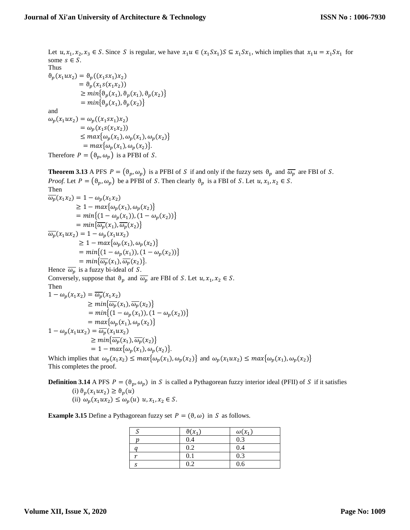Let  $u, x_1, x_2, x_3 \in S$ . Since S is regular, we have  $x_1u \in (x_1Sx_1)S \subseteq x_1Sx_1$ , which implies that  $x_1u = x_1Sx_1$  for some  $s \in S$ . Thus  $\vartheta_p(x_1ux_2) = \vartheta_p((x_1sx_1)x_2)$  $= \vartheta_p(x_1s(x_1x_2))$  $\geq min\{\theta_p(x_1), \theta_p(x_1), \theta_p(x_2)\}\$  $= min\{\vartheta_p(x_1), \vartheta_p(x_2)\}\$ and  $\omega_p(x_1ux_2) = \omega_p((x_1sx_1)x_2)$  $= \omega_p(x_1s(x_1x_2))$  $\leq max\{\omega_p(x_1), \omega_p(x_1), \omega_p(x_2)\}\$  $= max{\omega_p(x_1), \omega_p(x_2)}.$ 

Therefore  $P = (\vartheta_p, \omega_p)$  is a PFBI of S.

**Theorem 3.13** A PFS  $P = (\vartheta_p, \omega_p)$  is a PFBI of S if and only if the fuzzy sets  $\vartheta_p$  and  $\overline{\omega_p}$  are FBI of S. *Proof.* Let  $P = (\vartheta_p, \omega_p)$  be a PFBI of S. Then clearly  $\vartheta_p$  is a FBI of S. Let  $u, x_1, x_2 \in S$ .

Then  
\n
$$
\overline{\omega_p}(x_1x_2) = 1 - \omega_p(x_1x_2)
$$
\n
$$
\geq 1 - \max{\omega_p(x_1), \omega_p(x_2)}
$$
\n
$$
= \min\{(1 - \omega_p(x_1)), (1 - \omega_p(x_2))\}
$$
\n
$$
= \min\{\overline{\omega_p}(x_1), \overline{\omega_p}(x_2)\}
$$
\n
$$
\overline{\omega_p}(x_1ux_2) = 1 - \omega_p(x_1ux_2)
$$
\n
$$
\geq 1 - \max{\omega_p(x_1), \omega_p(x_2)}
$$
\n
$$
= \min\{(1 - \omega_p(x_1)), (1 - \omega_p(x_2))\}
$$
\n
$$
= \min\{\overline{\omega_p}(x_1), \overline{\omega_p}(x_2)\}.
$$
\nHence  $\overline{\omega_p}$  is a fuzzy bi-ideal of *S*.

Conversely, suppose that  $\vartheta_p$  and  $\overline{\omega_p}$  are FBI of S. Let  $u, x_1, x_2 \in S$ . Then

$$
1 - \omega_p(x_1 x_2) = \overline{\omega_p}(x_1 x_2)
$$
  
\n
$$
\geq min{\overline{\omega_p}(x_1), \overline{\omega_p}(x_2)}
$$
  
\n
$$
= min{(1 - \omega_p(x_1)), (1 - \omega_p(x_2))}
$$
  
\n
$$
= max{\omega_p(x_1), \omega_p(x_2)}
$$
  
\n
$$
1 - \omega_p(x_1 ux_2) = \overline{\omega_p}(x_1 ux_2)
$$
  
\n
$$
\geq min{\overline{\omega_p}(x_1), \overline{\omega_p}(x_2)}
$$
  
\n
$$
= 1 - max{\omega_p(x_1), \omega_p(x_2)}
$$
.

Which implies that  $\omega_p(x_1x_2) \leq max\{\omega_p(x_1), \omega_p(x_2)\}\$ and  $\omega_p(x_1ux_2) \leq max\{\omega_p(x_1), \omega_p(x_2)\}\$ This completes the proof.

**Definition 3.14** A PFS  $P = (\vartheta_p, \omega_p)$  in S is called a Pythagorean fuzzy interior ideal (PFII) of S if it satisfies (i)  $\vartheta_p(x_1ux_2) \ge \vartheta_p(u)$ (ii)  $\omega_p(x_1ux_2) \leq \omega_p(u)$   $u, x_1, x_2 \in S$ .

**Example 3.15** Define a Pythagorean fuzzy set  $P = (\theta, \omega)$  in S as follows.

|                | $\vartheta(x_1)$ | $\omega(x_1)$ |
|----------------|------------------|---------------|
|                | 0.4              | 0.3           |
|                | 0.2              | 0.4           |
| $\overline{a}$ | 0.1              | 0.3           |
|                | 0.2              | 0.6           |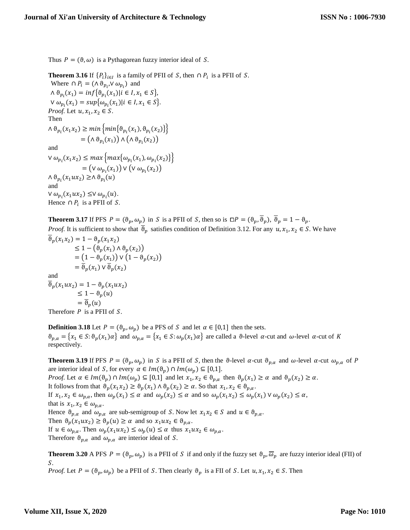Thus  $P = (\theta, \omega)$  is a Pythagorean fuzzy interior ideal of S.

**Theorem 3.16** If  $\{P_i\}_{i \in I}$  is a family of PFII of S, then  $\cap P_i$  is a PFII of S. Where  $\cap P_i = (\wedge \vartheta_{p_i}, \vee \omega_{p_i})$  and

 $\wedge \vartheta_{p_i}(x_1) = \inf \{ \vartheta_{p_i}(x_1) | i \in I, x_1 \in S \},\$  $V \omega_{p_i}(x_1) = \sup{\omega_{p_i}(x_1)} | i \in I, x_1 \in S$ . *Proof.* Let  $u, x_1, x_2 \in S$ . Then  $\wedge \vartheta_{p_i}(x_1x_2) \geq min \{ min \{\vartheta_{p_i}(x_1), \vartheta_{p_i}(x_2)\}\}\$  $= (\wedge \vartheta_{p_i}(x_1)) \wedge (\wedge \vartheta_{p_i}(x_2))$ 

and

∨  $ω_{p_i}(x_1x_2)$  ≤ max { $max{ω_{p_i}(x_1), ω_{p_i}(x_2)}$ }  $= (\vee \omega_{p_i}(x_1)) \vee (\vee \omega_{p_i}(x_2))$  $\wedge \vartheta_{p_i}(x_1ux_2) \geq \wedge \vartheta_{p_i}(u)$ and  $\vee \omega_{p_i}(x_1ux_2) \leq \vee \omega_{p_i}(u).$ Hence  $\cap P_i$  is a PFII of S.

**Theorem 3.17** If PFS  $P = (\vartheta_p, \omega_p)$  in S is a PFII of S, then so is  $\Box P = (\vartheta_p, \overline{\vartheta}_p)$ ,  $\overline{\vartheta}_p = 1 - \vartheta_p$ .

*Proof.* It is sufficient to show that  $\vartheta_p$  satisfies condition of Definition 3.12. For any  $u, x_1, x_2 \in S$ . We have  $\overline{\vartheta}_{n}(x_{1}x_{2}) = 1 - \vartheta_{n}(x_{1}x_{2})$ 

$$
\leq 1 - (\vartheta_p(x_1) \wedge \vartheta_p(x_2))
$$
  
\n
$$
\leq 1 - (\vartheta_p(x_1) \wedge \vartheta_p(x_2))
$$
  
\n
$$
= (1 - \vartheta_p(x_1)) \vee (1 - \vartheta_p(x_2))
$$
  
\nand  
\n
$$
\overline{\vartheta}_p(x_1) \vee \overline{\vartheta}_p(x_2)
$$
  
\nand  
\n
$$
\overline{\vartheta}_p(x_1ux_2) = 1 - \vartheta_p(x_1ux_2)
$$
  
\n
$$
\leq 1 - \vartheta_p(u)
$$
  
\n
$$
= \overline{\vartheta}_p(u)
$$
  
\nTherefore *P* is a PFI of *S*.

**Definition 3.18** Let  $P = (\vartheta_p, \omega_p)$  be a PFS of S and let  $\alpha \in [0,1]$  then the sets.  $\vartheta_{p,\alpha} = \{x_1 \in S : \vartheta_p(x_1)\alpha\}$  and  $\omega_{p,\alpha} = \{x_1 \in S : \omega_p(x_1)\alpha\}$  are called a  $\vartheta$ -level  $\alpha$ -cut and  $\omega$ -level  $\alpha$ -cut of K respectively.

**Theorem 3.19** If PFS  $P = (\vartheta_p, \omega_p)$  in S is a PFII of S, then the  $\vartheta$ -level  $\alpha$ -cut  $\vartheta_{p,\alpha}$  and  $\omega$ -level  $\alpha$ -cut  $\omega_{p,\alpha}$  of P are interior ideal of S, for every  $\alpha \in Im(\vartheta_p) \cap Im(\omega_p) \subseteq [0,1]$ . *Proof.* Let  $\alpha \in Im(\vartheta_p) \cap Im(\omega_p) \subseteq [0,1]$  and let  $x_1, x_2 \in \vartheta_{p,\alpha}$  then  $\vartheta_p(x_1) \ge \alpha$  and  $\vartheta_p(x_2) \ge \alpha$ . It follows from that  $\vartheta_p(x_1x_2) \ge \vartheta_p(x_1) \wedge \vartheta_p(x_2) \ge \alpha$ . So that  $x_1, x_2 \in \vartheta_{p,\alpha}$ . If  $x_1, x_2 \in \omega_{p,\alpha}$ , then  $\omega_p(x_1) \leq \alpha$  and  $\omega_p(x_2) \leq \alpha$  and so  $\omega_p(x_1x_2) \leq \omega_p(x_1) \vee \omega_p(x_2) \leq \alpha$ , that is  $x_1, x_2 \in \omega_{p,\alpha}$ . Hence  $\vartheta_{p,\alpha}$  and  $\omega_{p,\alpha}$  are sub-semigroup of S. Now let  $x_1x_2 \in S$  and  $u \in \vartheta_{p,\alpha}$ . Then  $\vartheta_p(x_1ux_2) \ge \vartheta_p(u) \ge \alpha$  and so  $x_1ux_2 \in \vartheta_{p,\alpha}$ . If  $u \in \omega_{p,\alpha}$ . Then  $\omega_p(x_1ux_2) \leq \omega_p(u) \leq \alpha$  thus  $x_1ux_2 \in \omega_{p,\alpha}$ . Therefore  $\vartheta_{p,\alpha}$  and  $\omega_{p,\alpha}$  are interior ideal of S.

**Theorem 3.20** A PFS  $P = (\vartheta_p, \omega_p)$  is a PFII of S if and only if the fuzzy set  $\vartheta_p, \overline{\omega}_p$  are fuzzy interior ideal (FII) of S.

*Proof.* Let  $P = (\vartheta_p, \omega_p)$  be a PFII of S. Then clearly  $\vartheta_p$  is a FII of S. Let  $u, x_1, x_2 \in S$ . Then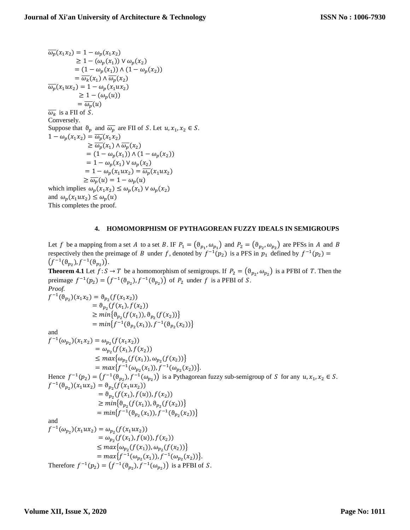$\overline{\omega_p}(x_1x_2) = 1 - \omega_p(x_1x_2)$  $\geq 1 - (\omega_n(x_1)) \vee \omega_n(x_2)$  $= (1 - \omega_p(x_1)) \wedge (1 - \omega_p(x_2))$  $=\overline{\omega_k}(x_1) \wedge \overline{\omega_p}(x_2)$  $\overline{\omega_p}(x_1ux_2) = 1 - \omega_p(x_1ux_2)$  $\geq 1 - (\omega_p(u))$  $=\overline{\omega_{p}(u)}$  $\overline{\omega_k}$  is a FII of S. Conversely. Suppose that  $\vartheta_p$  and  $\overline{\omega_p}$  are FII of S. Let  $u, x_1, x_2 \in S$ .  $1 - \omega_p(x_1x_2) = \overline{\omega_p}(x_1x_2)$  $\geq \overline{\omega_p}(x_1) \wedge \overline{\omega_p}(x_2)$  $= (1 - \omega_p(x_1)) \wedge (1 - \omega_p(x_2))$  $= 1 - \omega_p(x_1) \vee \omega_p(x_2)$  $= 1 - \omega_p(x_1ux_2) = \overline{\omega_p}(x_1ux_2)$  $\geq \overline{\omega_p}(u) = 1 - \omega_p(u)$ which implies  $\omega_p(x_1x_2) \leq \omega_p(x_1) \vee \omega_p(x_2)$ and  $\omega_p(x_1ux_2) \leq \omega_p(u)$ This completes the proof.

## **4. HOMOMORPHISM OF PYTHAGOREAN FUZZY IDEALS IN SEMIGROUPS**

Let f be a mapping from a set A to a set B. IF  $P_1 = (\theta_{p_1}, \omega_{p_1})$  and  $P_2 = (\theta_{p_2}, \omega_{p_2})$  are PFSs in A and B respectively then the preimage of B under f, denoted by  $f^{-1}(p_2)$  is a PFS in  $p_1$  defined by  $f^{-1}(p_2)$  =  $(f^{-1}(\vartheta_{p_2}), f^{-1}(\vartheta_{p_2}))$ .

**Theorem 4.1** Let  $f: S \to T$  be a homomorphism of semigroups. If  $P_2 = (\theta_{p_2}, \omega_{p_2})$  is a PFBI of T. Then the preimage  $f^{-1}(p_2) = (f^{-1}(\vartheta_{p_2}), f^{-1}(\vartheta_{p_2}))$  of  $P_2$  under f is a PFBI of S. *Proof.*

$$
f^{-1}(\vartheta_{p_2})(x_1x_2) = \vartheta_{p_2}(f(x_1x_2))
$$
  
\n
$$
= \vartheta_{p_2}(f(x_1), f(x_2))
$$
  
\n
$$
\geq min{\vartheta_{p_2}(f(x_1)), \vartheta_{p_2}(f(x_2))}
$$
  
\nand  
\n
$$
f^{-1}(\omega_{p_2})(x_1x_2) = \omega_{p_2}(f(x_1x_2))
$$
  
\n
$$
= \omega_{p_2}(f(x_1), f(x_2))
$$
  
\n
$$
= \omega_{p_2}(f(x_1), f(x_2))
$$
  
\n
$$
\leq max{\omega_{p_2}(f(x_1), \omega_{p_2}(f(x_2))}
$$
  
\n
$$
= max{f^{-1}(\omega_{p_2}(x_1)), f^{-1}(\omega_{p_2}(x_2))}
$$
.  
\nHence  $f^{-1}(p_2) = (f^{-1}(\vartheta_{p_2}), f^{-1}(\omega_{p_2}))$  is a Pythagorean fuzzy sub-semigroup of *S* for any *u*, *x*<sub>1</sub>, *x*<sub>2</sub>  $\in S$ .  
\n
$$
f^{-1}(\vartheta_{p_2})(x_1ux_2) = \vartheta_{p_2}(f(x_1ux_2))
$$
  
\n
$$
= \vartheta_{p_2}(f(x_1), f(u)), f(x_2)
$$
  
\n
$$
\geq min{\vartheta_{p_2}(f(x_1)), \vartheta_{p_2}(f(x_2))}
$$
  
\n
$$
= min{f^{-1}(\vartheta_{p_2}(x_1)), f^{-1}(\vartheta_{p_2}(x_2))}
$$
  
\nand  
\n
$$
f^{-1}(\omega_{p_2})(x_1ux_2) = \omega_{p_2}(f(x_1ux_2))
$$
  
\n
$$
= \omega_{p_2}(f(x_1), f(u)), f(x_2)
$$
  
\n
$$
= \omega_{p_2}(f(x_1), f(u)), f(x_2)
$$
  
\n
$$
\leq max{\omega_{p_2}(f(x_1)), \omega_{p_2}(f(x_2))}
$$
  
\n
$$
= max{f^{-1}(\omega_{p_2}(x_1)), f^{-1
$$